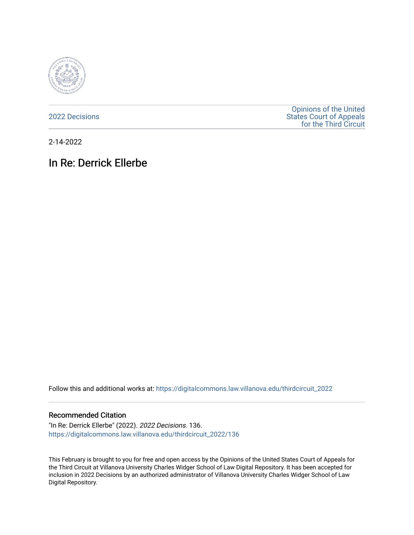

[2022 Decisions](https://digitalcommons.law.villanova.edu/thirdcircuit_2022)

[Opinions of the United](https://digitalcommons.law.villanova.edu/thirdcircuit)  [States Court of Appeals](https://digitalcommons.law.villanova.edu/thirdcircuit)  [for the Third Circuit](https://digitalcommons.law.villanova.edu/thirdcircuit) 

2-14-2022

# In Re: Derrick Ellerbe

Follow this and additional works at: [https://digitalcommons.law.villanova.edu/thirdcircuit\\_2022](https://digitalcommons.law.villanova.edu/thirdcircuit_2022?utm_source=digitalcommons.law.villanova.edu%2Fthirdcircuit_2022%2F136&utm_medium=PDF&utm_campaign=PDFCoverPages) 

#### Recommended Citation

"In Re: Derrick Ellerbe" (2022). 2022 Decisions. 136. [https://digitalcommons.law.villanova.edu/thirdcircuit\\_2022/136](https://digitalcommons.law.villanova.edu/thirdcircuit_2022/136?utm_source=digitalcommons.law.villanova.edu%2Fthirdcircuit_2022%2F136&utm_medium=PDF&utm_campaign=PDFCoverPages)

This February is brought to you for free and open access by the Opinions of the United States Court of Appeals for the Third Circuit at Villanova University Charles Widger School of Law Digital Repository. It has been accepted for inclusion in 2022 Decisions by an authorized administrator of Villanova University Charles Widger School of Law Digital Repository.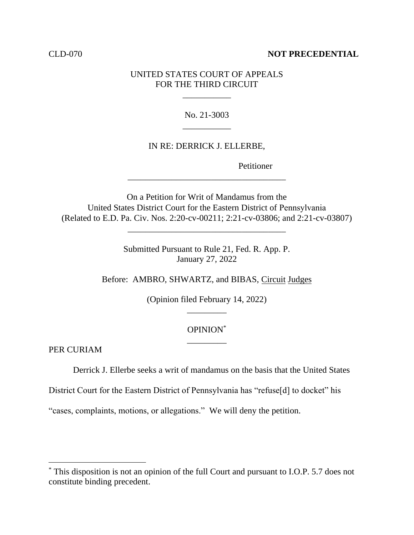#### CLD-070 **NOT PRECEDENTIAL**

## UNITED STATES COURT OF APPEALS FOR THE THIRD CIRCUIT

\_\_\_\_\_\_\_\_\_\_\_

# No. 21-3003 \_\_\_\_\_\_\_\_\_\_\_

#### IN RE: DERRICK J. ELLERBE,

\_\_\_\_\_\_\_\_\_\_\_\_\_\_\_\_\_\_\_\_\_\_\_\_\_\_\_\_\_\_\_\_\_\_\_\_

Petitioner

On a Petition for Writ of Mandamus from the United States District Court for the Eastern District of Pennsylvania (Related to E.D. Pa. Civ. Nos. 2:20-cv-00211; 2:21-cv-03806; and 2:21-cv-03807)

\_\_\_\_\_\_\_\_\_\_\_\_\_\_\_\_\_\_\_\_\_\_\_\_\_\_\_\_\_\_\_\_\_\_\_\_

Submitted Pursuant to Rule 21, Fed. R. App. P. January 27, 2022

Before: AMBRO, SHWARTZ, and BIBAS, Circuit Judges

(Opinion filed February 14, 2022)  $\overline{\phantom{a}}$   $\overline{\phantom{a}}$   $\overline{\phantom{a}}$   $\overline{\phantom{a}}$   $\overline{\phantom{a}}$   $\overline{\phantom{a}}$   $\overline{\phantom{a}}$   $\overline{\phantom{a}}$   $\overline{\phantom{a}}$   $\overline{\phantom{a}}$   $\overline{\phantom{a}}$   $\overline{\phantom{a}}$   $\overline{\phantom{a}}$   $\overline{\phantom{a}}$   $\overline{\phantom{a}}$   $\overline{\phantom{a}}$   $\overline{\phantom{a}}$   $\overline{\phantom{a}}$   $\overline{\$ 

## OPINION\*  $\overline{\phantom{a}}$   $\overline{\phantom{a}}$   $\overline{\phantom{a}}$   $\overline{\phantom{a}}$   $\overline{\phantom{a}}$   $\overline{\phantom{a}}$   $\overline{\phantom{a}}$   $\overline{\phantom{a}}$   $\overline{\phantom{a}}$   $\overline{\phantom{a}}$   $\overline{\phantom{a}}$   $\overline{\phantom{a}}$   $\overline{\phantom{a}}$   $\overline{\phantom{a}}$   $\overline{\phantom{a}}$   $\overline{\phantom{a}}$   $\overline{\phantom{a}}$   $\overline{\phantom{a}}$   $\overline{\$

PER CURIAM

Derrick J. Ellerbe seeks a writ of mandamus on the basis that the United States

District Court for the Eastern District of Pennsylvania has "refuse[d] to docket" his

"cases, complaints, motions, or allegations." We will deny the petition.

<sup>\*</sup> This disposition is not an opinion of the full Court and pursuant to I.O.P. 5.7 does not constitute binding precedent.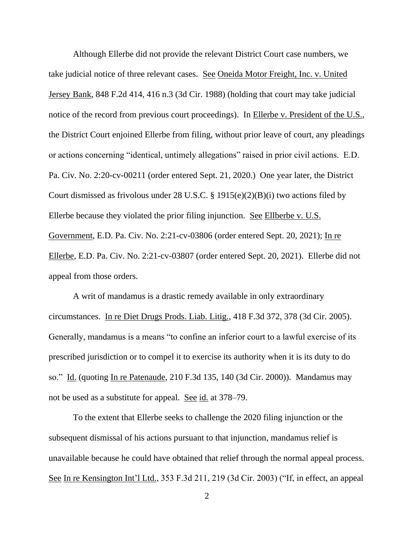Although Ellerbe did not provide the relevant District Court case numbers, we take judicial notice of three relevant cases. See Oneida Motor Freight, Inc. v. United Jersey Bank, 848 F.2d 414, 416 n.3 (3d Cir. 1988) (holding that court may take judicial notice of the record from previous court proceedings). In Ellerbe v. President of the U.S., the District Court enjoined Ellerbe from filing, without prior leave of court, any pleadings or actions concerning "identical, untimely allegations" raised in prior civil actions. E.D. Pa. Civ. No. 2:20-cv-00211 (order entered Sept. 21, 2020.) One year later, the District Court dismissed as frivolous under 28 U.S.C. § 1915(e)(2)(B)(i) two actions filed by Ellerbe because they violated the prior filing injunction. See Ellberbe v. U.S. Government, E.D. Pa. Civ. No. 2:21-cv-03806 (order entered Sept. 20, 2021); In re Ellerbe, E.D. Pa. Civ. No. 2:21-cv-03807 (order entered Sept. 20, 2021). Ellerbe did not appeal from those orders.

A writ of mandamus is a drastic remedy available in only extraordinary circumstances. In re Diet Drugs Prods. Liab. Litig., 418 F.3d 372, 378 (3d Cir. 2005). Generally, mandamus is a means "to confine an inferior court to a lawful exercise of its prescribed jurisdiction or to compel it to exercise its authority when it is its duty to do so." Id. (quoting In re Patenaude, 210 F.3d 135, 140 (3d Cir. 2000)). Mandamus may not be used as a substitute for appeal. See id. at 378–79.

To the extent that Ellerbe seeks to challenge the 2020 filing injunction or the subsequent dismissal of his actions pursuant to that injunction, mandamus relief is unavailable because he could have obtained that relief through the normal appeal process. See In re Kensington Int'l Ltd., 353 F.3d 211, 219 (3d Cir. 2003) ("If, in effect, an appeal